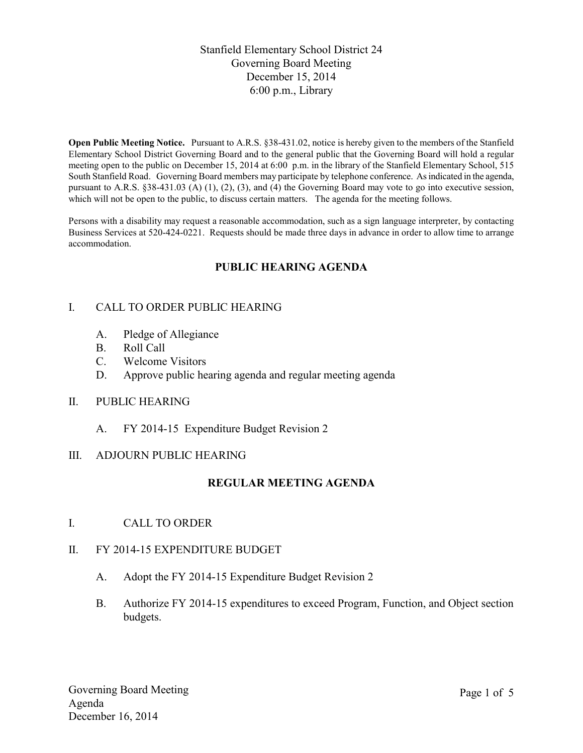Stanfield Elementary School District 24 Governing Board Meeting December 15, 2014 6:00 p.m., Library

**Open Public Meeting Notice.** Pursuant to A.R.S. §38-431.02, notice is hereby given to the members of the Stanfield Elementary School District Governing Board and to the general public that the Governing Board will hold a regular meeting open to the public on December 15, 2014 at 6:00 p.m. in the library of the Stanfield Elementary School, 515 South Stanfield Road. Governing Board members may participate by telephone conference. As indicated in the agenda, pursuant to A.R.S. §38-431.03 (A) (1), (2), (3), and (4) the Governing Board may vote to go into executive session, which will not be open to the public, to discuss certain matters. The agenda for the meeting follows.

Persons with a disability may request a reasonable accommodation, such as a sign language interpreter, by contacting Business Services at 520-424-0221. Requests should be made three days in advance in order to allow time to arrange accommodation.

# **PUBLIC HEARING AGENDA**

## I. CALL TO ORDER PUBLIC HEARING

- A. Pledge of Allegiance
- B. Roll Call
- C. Welcome Visitors
- D. Approve public hearing agenda and regular meeting agenda

#### II. PUBLIC HEARING

A. FY 2014-15 Expenditure Budget Revision 2

#### III. ADJOURN PUBLIC HEARING

#### **REGULAR MEETING AGENDA**

I. CALL TO ORDER

#### II. FY 2014-15 EXPENDITURE BUDGET

- A. Adopt the FY 2014-15 Expenditure Budget Revision 2
- B. Authorize FY 2014-15 expenditures to exceed Program, Function, and Object section budgets.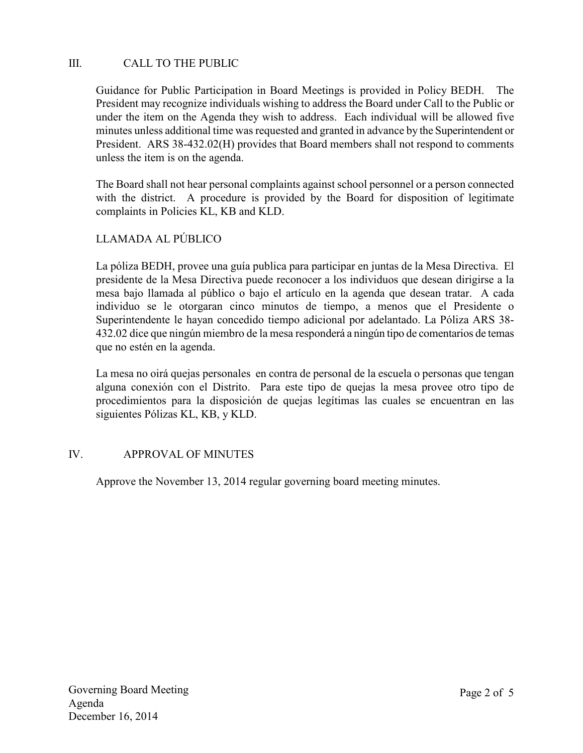# III. CALL TO THE PUBLIC

Guidance for Public Participation in Board Meetings is provided in Policy BEDH. The President may recognize individuals wishing to address the Board under Call to the Public or under the item on the Agenda they wish to address. Each individual will be allowed five minutes unless additional time was requested and granted in advance by the Superintendent or President. ARS 38-432.02(H) provides that Board members shall not respond to comments unless the item is on the agenda.

The Board shall not hear personal complaints against school personnel or a person connected with the district. A procedure is provided by the Board for disposition of legitimate complaints in Policies KL, KB and KLD.

# LLAMADA AL PÚBLICO

La póliza BEDH, provee una guía publica para participar en juntas de la Mesa Directiva. El presidente de la Mesa Directiva puede reconocer a los individuos que desean dirigirse a la mesa bajo llamada al público o bajo el artículo en la agenda que desean tratar. A cada individuo se le otorgaran cinco minutos de tiempo, a menos que el Presidente o Superintendente le hayan concedido tiempo adicional por adelantado. La Póliza ARS 38- 432.02 dice que ningún miembro de la mesa responderá a ningún tipo de comentarios de temas que no estén en la agenda.

La mesa no oirá quejas personales en contra de personal de la escuela o personas que tengan alguna conexión con el Distrito. Para este tipo de quejas la mesa provee otro tipo de procedimientos para la disposición de quejas legítimas las cuales se encuentran en las siguientes Pólizas KL, KB, y KLD.

## IV. APPROVAL OF MINUTES

Approve the November 13, 2014 regular governing board meeting minutes.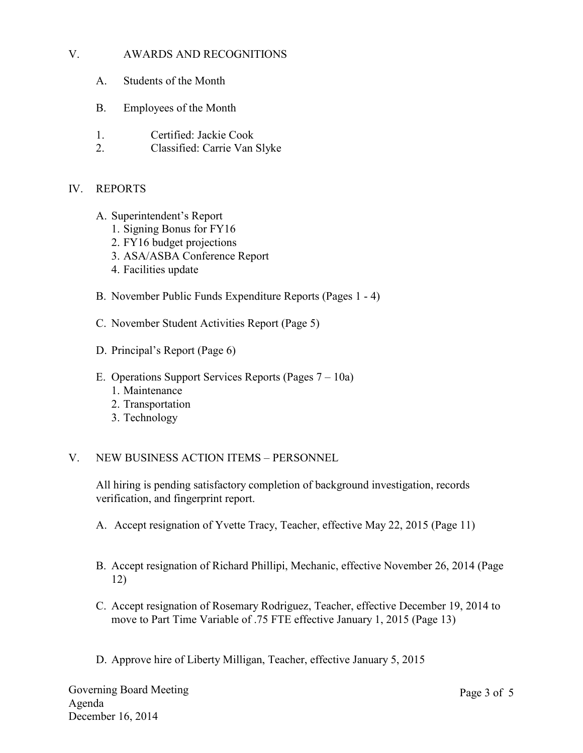## V. AWARDS AND RECOGNITIONS

- A. Students of the Month
- B. Employees of the Month
- 1. Certified: Jackie Cook
- 2. Classified: Carrie Van Slyke

## IV. REPORTS

- A. Superintendent's Report
	- 1. Signing Bonus for FY16
	- 2. FY16 budget projections
	- 3. ASA/ASBA Conference Report
	- 4. Facilities update
- B. November Public Funds Expenditure Reports (Pages 1 4)
- C. November Student Activities Report (Page 5)
- D. Principal's Report (Page 6)
- E. Operations Support Services Reports (Pages 7 10a)
	- 1. Maintenance
	- 2. Transportation
	- 3. Technology

## V. NEW BUSINESS ACTION ITEMS – PERSONNEL

All hiring is pending satisfactory completion of background investigation, records verification, and fingerprint report.

- A. Accept resignation of Yvette Tracy, Teacher, effective May 22, 2015 (Page 11)
- B. Accept resignation of Richard Phillipi, Mechanic, effective November 26, 2014 (Page 12)
- C. Accept resignation of Rosemary Rodriguez, Teacher, effective December 19, 2014 to move to Part Time Variable of .75 FTE effective January 1, 2015 (Page 13)
- D. Approve hire of Liberty Milligan, Teacher, effective January 5, 2015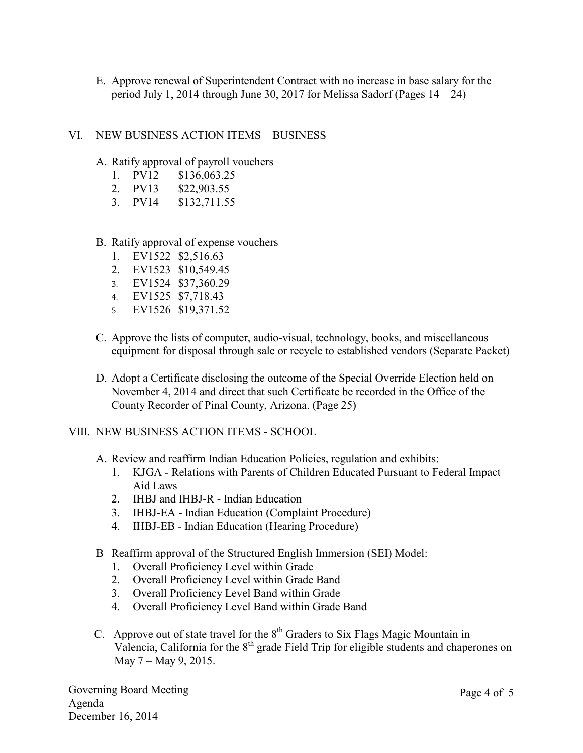E. Approve renewal of Superintendent Contract with no increase in base salary for the period July 1, 2014 through June 30, 2017 for Melissa Sadorf (Pages  $14 - 24$ )

#### VI. NEW BUSINESS ACTION ITEMS – BUSINESS

- A. Ratify approval of payroll vouchers
	- 1. PV12 \$136,063.25
	- 2. PV13 \$22,903.55
	- 3. PV14 \$132,711.55

#### B. Ratify approval of expense vouchers

- 1. EV1522 \$2,516.63
- 2. EV1523 \$10,549.45
- 3. EV1524 \$37,360.29
- 4. EV1525 \$7,718.43
- 5. EV1526 \$19,371.52
- C. Approve the lists of computer, audio-visual, technology, books, and miscellaneous equipment for disposal through sale or recycle to established vendors (Separate Packet)
- D. Adopt a Certificate disclosing the outcome of the Special Override Election held on November 4, 2014 and direct that such Certificate be recorded in the Office of the County Recorder of Pinal County, Arizona. (Page 25)

## VIII. NEW BUSINESS ACTION ITEMS - SCHOOL

- A. Review and reaffirm Indian Education Policies, regulation and exhibits:
	- 1. KJGA Relations with Parents of Children Educated Pursuant to Federal Impact Aid Laws
	- 2. IHBJ and IHBJ-R Indian Education
	- 3. IHBJ-EA Indian Education (Complaint Procedure)
	- 4. IHBJ-EB Indian Education (Hearing Procedure)
- B Reaffirm approval of the Structured English Immersion (SEI) Model:
	- 1. Overall Proficiency Level within Grade
	- 2. Overall Proficiency Level within Grade Band
	- 3. Overall Proficiency Level Band within Grade
	- 4. Overall Proficiency Level Band within Grade Band
- C. Approve out of state travel for the  $8<sup>th</sup>$  Graders to Six Flags Magic Mountain in Valencia, California for the  $8<sup>th</sup>$  grade Field Trip for eligible students and chaperones on May 7 – May 9, 2015.